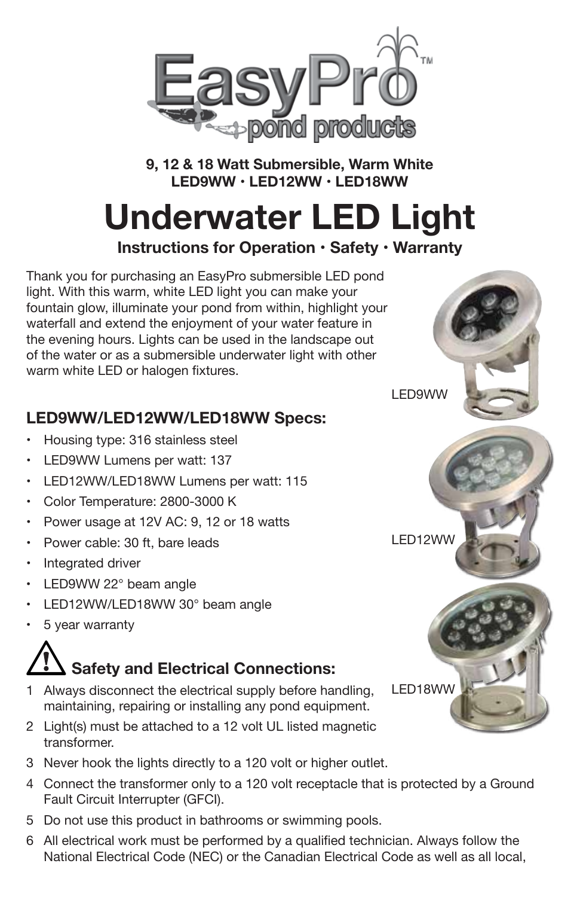

**9, 12 & 18 Watt Submersible, Warm White LED9WW • LED12WW • LED18WW** 

# **Underwater LED Light**

**Instructions for Operation • Safety • Warranty**

Thank you for purchasing an EasyPro submersible LED pond light. With this warm, white LED light you can make your fountain glow, illuminate your pond from within, highlight your waterfall and extend the enjoyment of your water feature in the evening hours. Lights can be used in the landscape out of the water or as a submersible underwater light with other warm white LED or halogen fixtures.

### **LED9WW/LED12WW/LED18WW Specs:**

- •Housing type: 316 stainless steel
- LED9WW Lumens per watt: 137
- LED12WW/LED18WW Lumens per watt: 115
- •Color Temperature: 2800-3000 K
- •Power usage at 12V AC: 9, 12 or 18 watts
- •Power cable: 30 ft, bare leads
- Integrated driver
- •LED9WW 22° beam angle
- •LED12WW/LED18WW 30° beam angle
- •5 year warranty

## **Safety and Electrical Connections:**

- 1 Always disconnect the electrical supply before handling, maintaining, repairing or installing any pond equipment.
- 2 Light(s) must be attached to a 12 volt UL listed magnetic transformer.
- 3 Never hook the lights directly to a 120 volt or higher outlet.
- 4 Connect the transformer only to a 120 volt receptacle that is protected by a Ground Fault Circuit Interrupter (GFCI).
- 5 Do not use this product in bathrooms or swimming pools.
- 6 All electrical work must be performed by a qualified technician. Always follow the National Electrical Code (NEC) or the Canadian Electrical Code as well as all local,

LED12WW

LED9WW

LED18WW